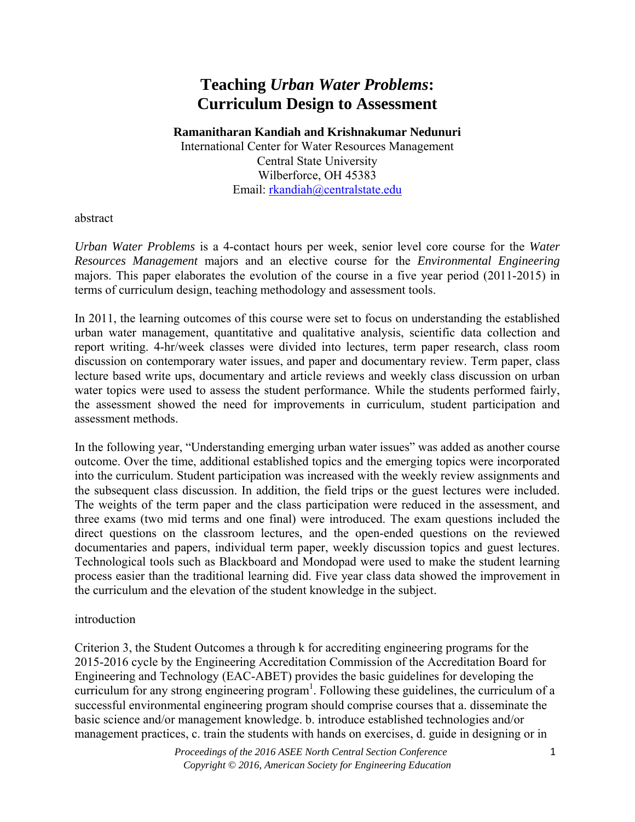# **Teaching** *Urban Water Problems***: Curriculum Design to Assessment**

**Ramanitharan Kandiah and Krishnakumar Nedunuri**

International Center for Water Resources Management Central State University Wilberforce, OH 45383 Email: rkandiah@centralstate.edu

abstract

*Urban Water Problems* is a 4-contact hours per week, senior level core course for the *Water Resources Management* majors and an elective course for the *Environmental Engineering* majors. This paper elaborates the evolution of the course in a five year period (2011-2015) in terms of curriculum design, teaching methodology and assessment tools.

In 2011, the learning outcomes of this course were set to focus on understanding the established urban water management, quantitative and qualitative analysis, scientific data collection and report writing. 4-hr/week classes were divided into lectures, term paper research, class room discussion on contemporary water issues, and paper and documentary review. Term paper, class lecture based write ups, documentary and article reviews and weekly class discussion on urban water topics were used to assess the student performance. While the students performed fairly, the assessment showed the need for improvements in curriculum, student participation and assessment methods.

In the following year, "Understanding emerging urban water issues" was added as another course outcome. Over the time, additional established topics and the emerging topics were incorporated into the curriculum. Student participation was increased with the weekly review assignments and the subsequent class discussion. In addition, the field trips or the guest lectures were included. The weights of the term paper and the class participation were reduced in the assessment, and three exams (two mid terms and one final) were introduced. The exam questions included the direct questions on the classroom lectures, and the open-ended questions on the reviewed documentaries and papers, individual term paper, weekly discussion topics and guest lectures. Technological tools such as Blackboard and Mondopad were used to make the student learning process easier than the traditional learning did. Five year class data showed the improvement in the curriculum and the elevation of the student knowledge in the subject.

## introduction

Criterion 3, the Student Outcomes a through k for accrediting engineering programs for the 2015-2016 cycle by the Engineering Accreditation Commission of the Accreditation Board for Engineering and Technology (EAC-ABET) provides the basic guidelines for developing the curriculum for any strong engineering program<sup>1</sup>. Following these guidelines, the curriculum of a successful environmental engineering program should comprise courses that a. disseminate the basic science and/or management knowledge. b. introduce established technologies and/or management practices, c. train the students with hands on exercises, d. guide in designing or in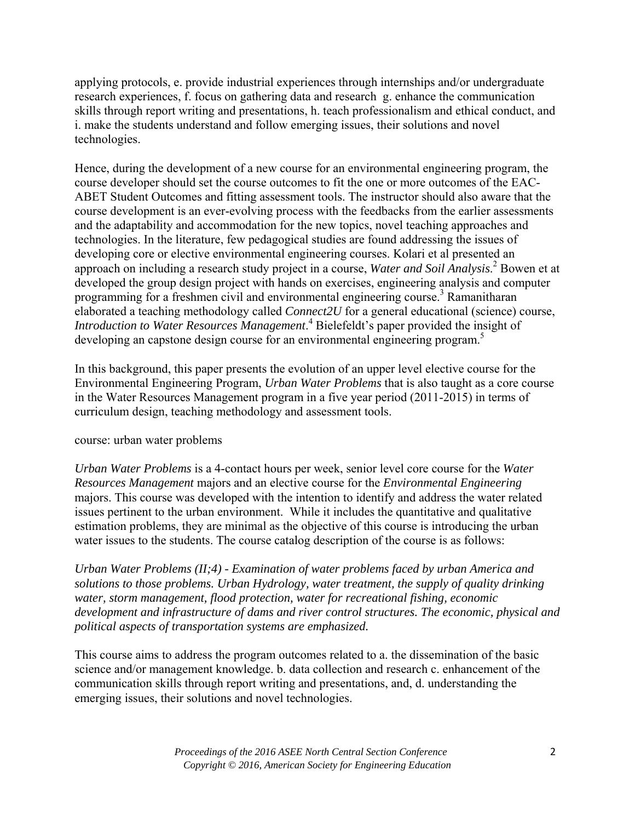applying protocols, e. provide industrial experiences through internships and/or undergraduate research experiences, f. focus on gathering data and research g. enhance the communication skills through report writing and presentations, h. teach professionalism and ethical conduct, and i. make the students understand and follow emerging issues, their solutions and novel technologies.

Hence, during the development of a new course for an environmental engineering program, the course developer should set the course outcomes to fit the one or more outcomes of the EAC-ABET Student Outcomes and fitting assessment tools. The instructor should also aware that the course development is an ever-evolving process with the feedbacks from the earlier assessments and the adaptability and accommodation for the new topics, novel teaching approaches and technologies. In the literature, few pedagogical studies are found addressing the issues of developing core or elective environmental engineering courses. Kolari et al presented an approach on including a research study project in a course, *Water and Soil Analysis*.<sup>2</sup> Bowen et at developed the group design project with hands on exercises, engineering analysis and computer programming for a freshmen civil and environmental engineering course.<sup>3</sup> Ramanitharan elaborated a teaching methodology called *Connect2U* for a general educational (science) course, *Introduction to Water Resources Management*. 4 Bielefeldt's paper provided the insight of developing an capstone design course for an environmental engineering program.<sup>5</sup>

In this background, this paper presents the evolution of an upper level elective course for the Environmental Engineering Program, *Urban Water Problems* that is also taught as a core course in the Water Resources Management program in a five year period (2011-2015) in terms of curriculum design, teaching methodology and assessment tools.

## course: urban water problems

*Urban Water Problems* is a 4-contact hours per week, senior level core course for the *Water Resources Management* majors and an elective course for the *Environmental Engineering* majors. This course was developed with the intention to identify and address the water related issues pertinent to the urban environment. While it includes the quantitative and qualitative estimation problems, they are minimal as the objective of this course is introducing the urban water issues to the students. The course catalog description of the course is as follows:

*Urban Water Problems (II;4) - Examination of water problems faced by urban America and solutions to those problems. Urban Hydrology, water treatment, the supply of quality drinking water, storm management, flood protection, water for recreational fishing, economic development and infrastructure of dams and river control structures. The economic, physical and political aspects of transportation systems are emphasized.* 

This course aims to address the program outcomes related to a. the dissemination of the basic science and/or management knowledge. b. data collection and research c. enhancement of the communication skills through report writing and presentations, and, d. understanding the emerging issues, their solutions and novel technologies.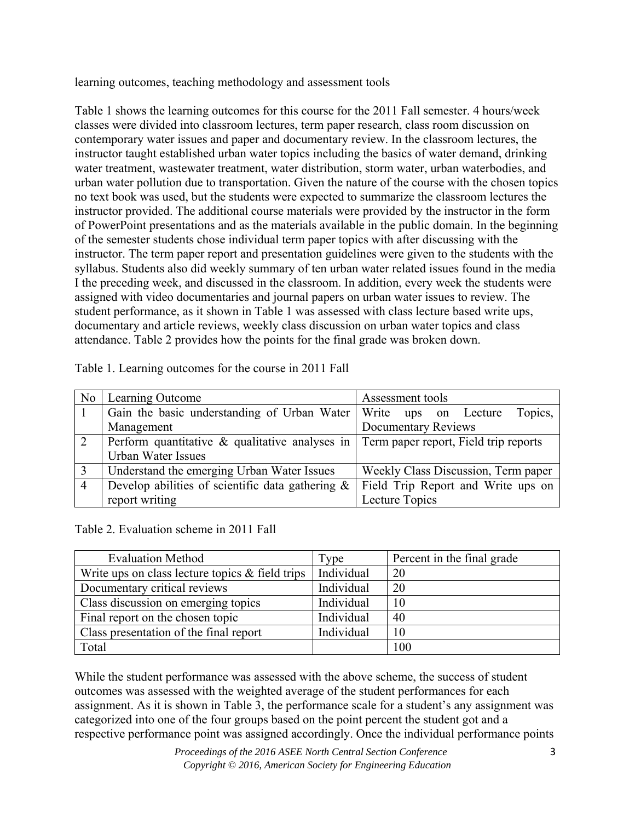learning outcomes, teaching methodology and assessment tools

Table 1 shows the learning outcomes for this course for the 2011 Fall semester. 4 hours/week classes were divided into classroom lectures, term paper research, class room discussion on contemporary water issues and paper and documentary review. In the classroom lectures, the instructor taught established urban water topics including the basics of water demand, drinking water treatment, wastewater treatment, water distribution, storm water, urban waterbodies, and urban water pollution due to transportation. Given the nature of the course with the chosen topics no text book was used, but the students were expected to summarize the classroom lectures the instructor provided. The additional course materials were provided by the instructor in the form of PowerPoint presentations and as the materials available in the public domain. In the beginning of the semester students chose individual term paper topics with after discussing with the instructor. The term paper report and presentation guidelines were given to the students with the syllabus. Students also did weekly summary of ten urban water related issues found in the media I the preceding week, and discussed in the classroom. In addition, every week the students were assigned with video documentaries and journal papers on urban water issues to review. The student performance, as it shown in Table 1 was assessed with class lecture based write ups, documentary and article reviews, weekly class discussion on urban water topics and class attendance. Table 2 provides how the points for the final grade was broken down.

| N <sub>0</sub> | Learning Outcome                                    | Assessment tools                      |  |  |
|----------------|-----------------------------------------------------|---------------------------------------|--|--|
|                | Gain the basic understanding of Urban Water         | Topics,<br>Write ups on Lecture       |  |  |
|                | Management                                          | <b>Documentary Reviews</b>            |  |  |
| 2              | Perform quantitative & qualitative analyses in      | Term paper report, Field trip reports |  |  |
|                | Urban Water Issues                                  |                                       |  |  |
|                | Understand the emerging Urban Water Issues          | Weekly Class Discussion, Term paper   |  |  |
| $\overline{4}$ | Develop abilities of scientific data gathering $\&$ | Field Trip Report and Write ups on    |  |  |
|                | report writing                                      | Lecture Topics                        |  |  |

Table 1. Learning outcomes for the course in 2011 Fall

Table 2. Evaluation scheme in 2011 Fall

| <b>Evaluation Method</b>                           | <b>Type</b> | Percent in the final grade |
|----------------------------------------------------|-------------|----------------------------|
| Write ups on class lecture topics $\&$ field trips | Individual  | 20                         |
| Documentary critical reviews                       | Individual  | 20                         |
| Class discussion on emerging topics                | Individual  | 10                         |
| Final report on the chosen topic                   | Individual  | 40                         |
| Class presentation of the final report             | Individual  | 10                         |
| Total                                              |             | 100                        |

While the student performance was assessed with the above scheme, the success of student outcomes was assessed with the weighted average of the student performances for each assignment. As it is shown in Table 3, the performance scale for a student's any assignment was categorized into one of the four groups based on the point percent the student got and a respective performance point was assigned accordingly. Once the individual performance points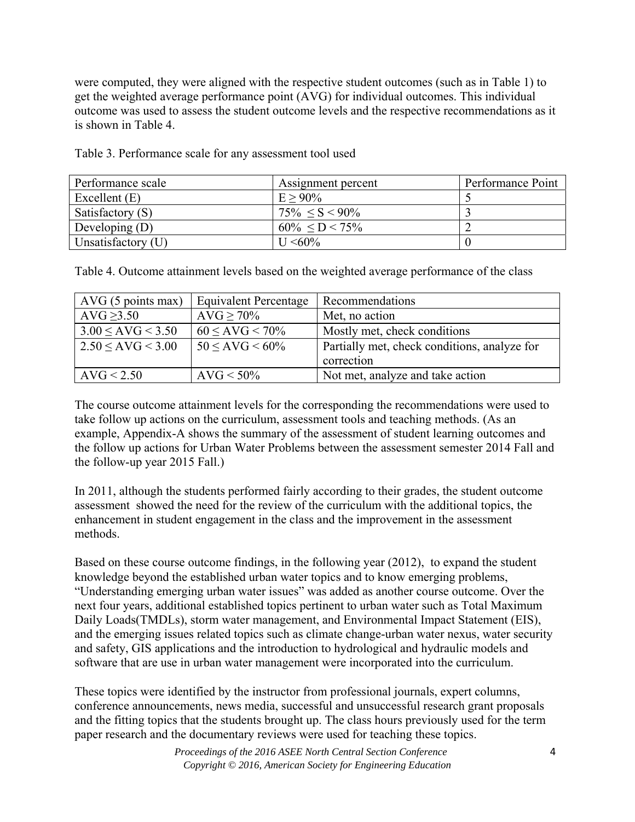were computed, they were aligned with the respective student outcomes (such as in Table 1) to get the weighted average performance point (AVG) for individual outcomes. This individual outcome was used to assess the student outcome levels and the respective recommendations as it is shown in Table 4.

| Performance scale  | Assignment percent    | Performance Point |
|--------------------|-----------------------|-------------------|
| Excellent $(E)$    | $E > 90\%$            |                   |
| Satisfactory (S)   | $75\% < S < 90\%$     |                   |
| Developing $(D)$   | $60\% \le D \le 75\%$ |                   |
| Unsatisfactory (U) | $U < 60\%$            |                   |

Table 3. Performance scale for any assessment tool used

Table 4. Outcome attainment levels based on the weighted average performance of the class

| AVG(5 points max)      | <b>Equivalent Percentage</b> | Recommendations                              |
|------------------------|------------------------------|----------------------------------------------|
| AVG > 3.50             | $AVG > 70\%$                 | Met, no action                               |
| $3.00 \leq$ AVG < 3.50 | $60 \leq$ AVG < 70%          | Mostly met, check conditions                 |
| $2.50 \leq$ AVG < 3.00 | $50 < AVG < 60\%$            | Partially met, check conditions, analyze for |
|                        |                              | correction                                   |
| AVG < 2.50             | $AVG < 50\%$                 | Not met, analyze and take action             |

The course outcome attainment levels for the corresponding the recommendations were used to take follow up actions on the curriculum, assessment tools and teaching methods. (As an example, Appendix-A shows the summary of the assessment of student learning outcomes and the follow up actions for Urban Water Problems between the assessment semester 2014 Fall and the follow-up year 2015 Fall.)

In 2011, although the students performed fairly according to their grades, the student outcome assessment showed the need for the review of the curriculum with the additional topics, the enhancement in student engagement in the class and the improvement in the assessment methods.

Based on these course outcome findings, in the following year (2012), to expand the student knowledge beyond the established urban water topics and to know emerging problems, "Understanding emerging urban water issues" was added as another course outcome. Over the next four years, additional established topics pertinent to urban water such as Total Maximum Daily Loads(TMDLs), storm water management, and Environmental Impact Statement (EIS), and the emerging issues related topics such as climate change-urban water nexus, water security and safety, GIS applications and the introduction to hydrological and hydraulic models and software that are use in urban water management were incorporated into the curriculum.

These topics were identified by the instructor from professional journals, expert columns, conference announcements, news media, successful and unsuccessful research grant proposals and the fitting topics that the students brought up. The class hours previously used for the term paper research and the documentary reviews were used for teaching these topics.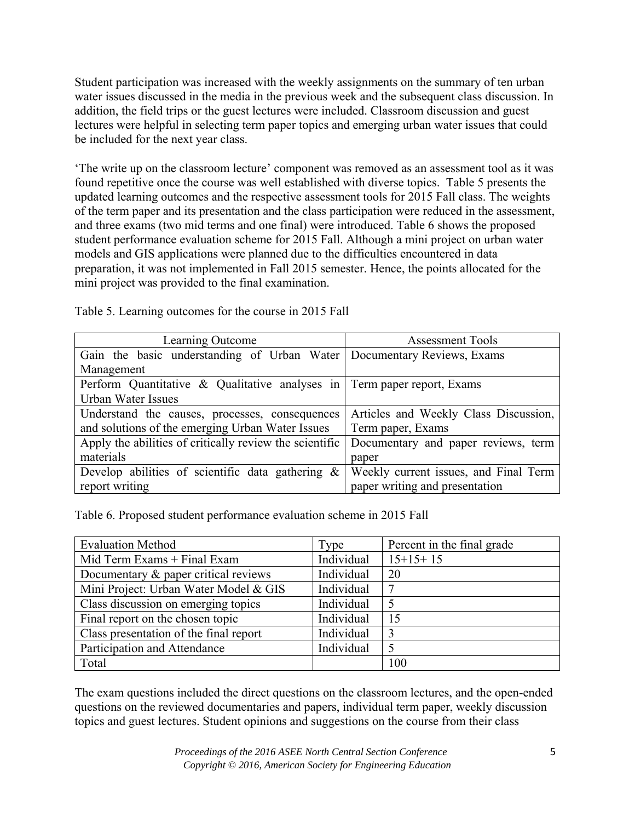Student participation was increased with the weekly assignments on the summary of ten urban water issues discussed in the media in the previous week and the subsequent class discussion. In addition, the field trips or the guest lectures were included. Classroom discussion and guest lectures were helpful in selecting term paper topics and emerging urban water issues that could be included for the next year class.

'The write up on the classroom lecture' component was removed as an assessment tool as it was found repetitive once the course was well established with diverse topics. Table 5 presents the updated learning outcomes and the respective assessment tools for 2015 Fall class. The weights of the term paper and its presentation and the class participation were reduced in the assessment, and three exams (two mid terms and one final) were introduced. Table 6 shows the proposed student performance evaluation scheme for 2015 Fall. Although a mini project on urban water models and GIS applications were planned due to the difficulties encountered in data preparation, it was not implemented in Fall 2015 semester. Hence, the points allocated for the mini project was provided to the final examination.

| Learning Outcome                                                        | <b>Assessment Tools</b>               |  |  |  |
|-------------------------------------------------------------------------|---------------------------------------|--|--|--|
| Gain the basic understanding of Urban Water Documentary Reviews, Exams  |                                       |  |  |  |
| Management                                                              |                                       |  |  |  |
| Perform Quantitative & Qualitative analyses in Term paper report, Exams |                                       |  |  |  |
| <b>Urban Water Issues</b>                                               |                                       |  |  |  |
| Understand the causes, processes, consequences                          | Articles and Weekly Class Discussion, |  |  |  |
| and solutions of the emerging Urban Water Issues                        | Term paper, Exams                     |  |  |  |
| Apply the abilities of critically review the scientific                 | Documentary and paper reviews, term   |  |  |  |
| materials                                                               | paper                                 |  |  |  |
| Develop abilities of scientific data gathering $\&$                     | Weekly current issues, and Final Term |  |  |  |
| report writing                                                          | paper writing and presentation        |  |  |  |

Table 5. Learning outcomes for the course in 2015 Fall

Table 6. Proposed student performance evaluation scheme in 2015 Fall

| <b>Evaluation Method</b>               | Type       | Percent in the final grade |
|----------------------------------------|------------|----------------------------|
| Mid Term Exams $+$ Final Exam          | Individual | $15+15+15$                 |
| Documentary & paper critical reviews   | Individual | 20                         |
| Mini Project: Urban Water Model & GIS  | Individual | ⇁                          |
| Class discussion on emerging topics    | Individual | 5                          |
| Final report on the chosen topic       | Individual | 15                         |
| Class presentation of the final report | Individual | 3                          |
| Participation and Attendance           | Individual |                            |
| Total                                  |            | 100                        |

The exam questions included the direct questions on the classroom lectures, and the open-ended questions on the reviewed documentaries and papers, individual term paper, weekly discussion topics and guest lectures. Student opinions and suggestions on the course from their class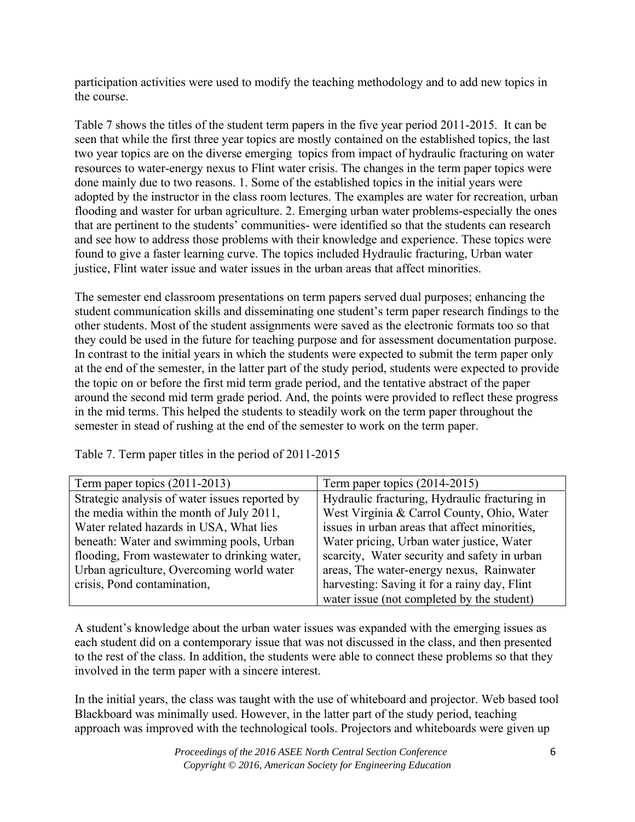participation activities were used to modify the teaching methodology and to add new topics in the course.

Table 7 shows the titles of the student term papers in the five year period 2011-2015. It can be seen that while the first three year topics are mostly contained on the established topics, the last two year topics are on the diverse emerging topics from impact of hydraulic fracturing on water resources to water-energy nexus to Flint water crisis. The changes in the term paper topics were done mainly due to two reasons. 1. Some of the established topics in the initial years were adopted by the instructor in the class room lectures. The examples are water for recreation, urban flooding and waster for urban agriculture. 2. Emerging urban water problems-especially the ones that are pertinent to the students' communities- were identified so that the students can research and see how to address those problems with their knowledge and experience. These topics were found to give a faster learning curve. The topics included Hydraulic fracturing, Urban water justice, Flint water issue and water issues in the urban areas that affect minorities.

The semester end classroom presentations on term papers served dual purposes; enhancing the student communication skills and disseminating one student's term paper research findings to the other students. Most of the student assignments were saved as the electronic formats too so that they could be used in the future for teaching purpose and for assessment documentation purpose. In contrast to the initial years in which the students were expected to submit the term paper only at the end of the semester, in the latter part of the study period, students were expected to provide the topic on or before the first mid term grade period, and the tentative abstract of the paper around the second mid term grade period. And, the points were provided to reflect these progress in the mid terms. This helped the students to steadily work on the term paper throughout the semester in stead of rushing at the end of the semester to work on the term paper.

| Term paper topics $(2011-2013)$                | Term paper topics (2014-2015)                 |
|------------------------------------------------|-----------------------------------------------|
| Strategic analysis of water issues reported by | Hydraulic fracturing, Hydraulic fracturing in |
| the media within the month of July 2011,       | West Virginia & Carrol County, Ohio, Water    |
| Water related hazards in USA, What lies        | issues in urban areas that affect minorities, |
| beneath: Water and swimming pools, Urban       | Water pricing, Urban water justice, Water     |
| flooding, From was tewater to drinking water,  | scarcity, Water security and safety in urban  |
| Urban agriculture, Overcoming world water      | areas, The water-energy nexus, Rainwater      |
| crisis, Pond contamination,                    | harvesting: Saving it for a rainy day, Flint  |
|                                                | water issue (not completed by the student)    |

Table 7. Term paper titles in the period of 2011-2015

A student's knowledge about the urban water issues was expanded with the emerging issues as each student did on a contemporary issue that was not discussed in the class, and then presented to the rest of the class. In addition, the students were able to connect these problems so that they involved in the term paper with a sincere interest.

In the initial years, the class was taught with the use of whiteboard and projector. Web based tool Blackboard was minimally used. However, in the latter part of the study period, teaching approach was improved with the technological tools. Projectors and whiteboards were given up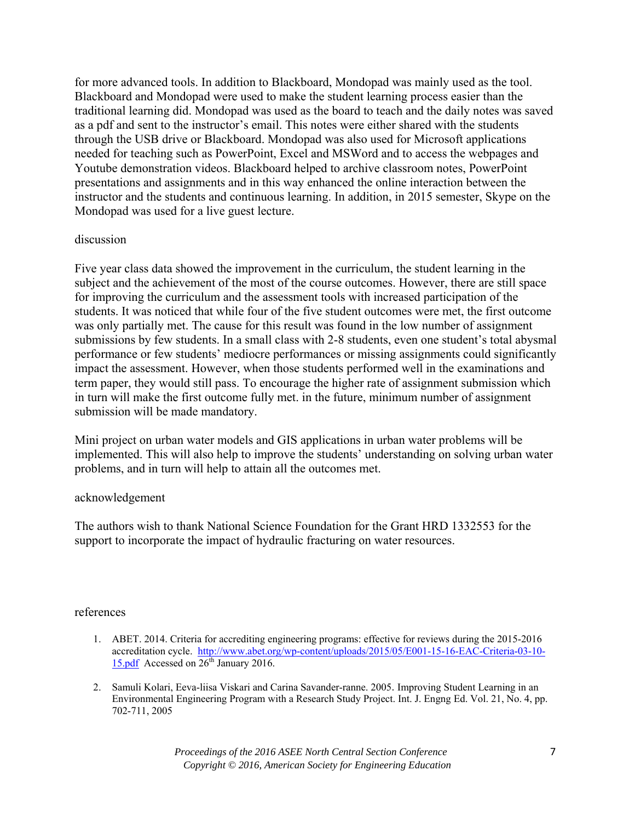for more advanced tools. In addition to Blackboard, Mondopad was mainly used as the tool. Blackboard and Mondopad were used to make the student learning process easier than the traditional learning did. Mondopad was used as the board to teach and the daily notes was saved as a pdf and sent to the instructor's email. This notes were either shared with the students through the USB drive or Blackboard. Mondopad was also used for Microsoft applications needed for teaching such as PowerPoint, Excel and MSWord and to access the webpages and Youtube demonstration videos. Blackboard helped to archive classroom notes, PowerPoint presentations and assignments and in this way enhanced the online interaction between the instructor and the students and continuous learning. In addition, in 2015 semester, Skype on the Mondopad was used for a live guest lecture.

#### discussion

Five year class data showed the improvement in the curriculum, the student learning in the subject and the achievement of the most of the course outcomes. However, there are still space for improving the curriculum and the assessment tools with increased participation of the students. It was noticed that while four of the five student outcomes were met, the first outcome was only partially met. The cause for this result was found in the low number of assignment submissions by few students. In a small class with 2-8 students, even one student's total abysmal performance or few students' mediocre performances or missing assignments could significantly impact the assessment. However, when those students performed well in the examinations and term paper, they would still pass. To encourage the higher rate of assignment submission which in turn will make the first outcome fully met. in the future, minimum number of assignment submission will be made mandatory.

Mini project on urban water models and GIS applications in urban water problems will be implemented. This will also help to improve the students' understanding on solving urban water problems, and in turn will help to attain all the outcomes met.

#### acknowledgement

The authors wish to thank National Science Foundation for the Grant HRD 1332553 for the support to incorporate the impact of hydraulic fracturing on water resources.

#### references

- 1. ABET. 2014. Criteria for accrediting engineering programs: effective for reviews during the 2015-2016 accreditation cycle. http://www.abet.org/wp-content/uploads/2015/05/E001-15-16-EAC-Criteria-03-10- 15.pdf Accessed on  $26<sup>th</sup>$  January 2016.
- 2. Samuli Kolari, Eeva-liisa Viskari and Carina Savander-ranne. 2005. Improving Student Learning in an Environmental Engineering Program with a Research Study Project. Int. J. Engng Ed. Vol. 21, No. 4, pp. 702-711, 2005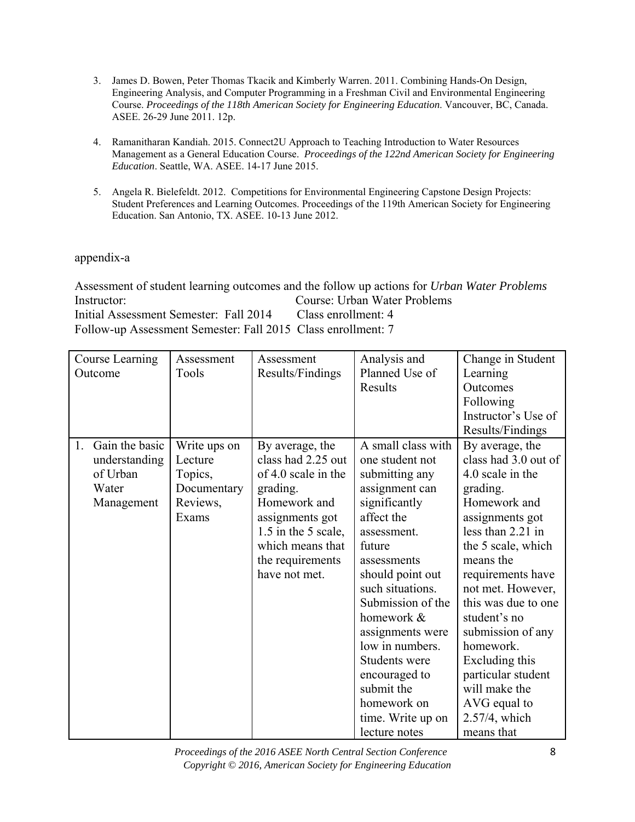- 3. James D. Bowen, Peter Thomas Tkacik and Kimberly Warren. 2011. Combining Hands-On Design, Engineering Analysis, and Computer Programming in a Freshman Civil and Environmental Engineering Course. *Proceedings of the 118th American Society for Engineering Education*. Vancouver, BC, Canada. ASEE. 26-29 June 2011. 12p.
- 4. Ramanitharan Kandiah. 2015. Connect2U Approach to Teaching Introduction to Water Resources Management as a General Education Course. *Proceedings of the 122nd American Society for Engineering Education*. Seattle, WA. ASEE. 14-17 June 2015.
- 5. Angela R. Bielefeldt. 2012. Competitions for Environmental Engineering Capstone Design Projects: Student Preferences and Learning Outcomes. Proceedings of the 119th American Society for Engineering Education. San Antonio, TX. ASEE. 10-13 June 2012.

# appendix-a

Assessment of student learning outcomes and the follow up actions for *Urban Water Problems* Instructor: Course: Urban Water Problems Initial Assessment Semester: Fall 2014 Class enrollment: 4 Follow-up Assessment Semester: Fall 2015 Class enrollment: 7

| Course Learning      | Assessment   | Assessment          | Analysis and       | Change in Student    |
|----------------------|--------------|---------------------|--------------------|----------------------|
| Outcome              | Tools        | Results/Findings    | Planned Use of     | Learning             |
|                      |              |                     | Results            | Outcomes             |
|                      |              |                     |                    | Following            |
|                      |              |                     |                    | Instructor's Use of  |
|                      |              |                     |                    | Results/Findings     |
| Gain the basic<br>1. | Write ups on | By average, the     | A small class with | By average, the      |
| understanding        | Lecture      | class had 2.25 out  | one student not    | class had 3.0 out of |
| of Urban             | Topics,      | of 4.0 scale in the | submitting any     | 4.0 scale in the     |
| Water                | Documentary  | grading.            | assignment can     | grading.             |
| Management           | Reviews,     | Homework and        | significantly      | Homework and         |
|                      | Exams        | assignments got     | affect the         | assignments got      |
|                      |              | 1.5 in the 5 scale, | assessment.        | less than 2.21 in    |
|                      |              | which means that    | future             | the 5 scale, which   |
|                      |              | the requirements    | assessments        | means the            |
|                      |              | have not met.       | should point out   | requirements have    |
|                      |              |                     | such situations.   | not met. However,    |
|                      |              |                     | Submission of the  | this was due to one  |
|                      |              |                     | homework &         | student's no         |
|                      |              |                     | assignments were   | submission of any    |
|                      |              |                     | low in numbers.    | homework.            |
|                      |              |                     | Students were      | Excluding this       |
|                      |              |                     | encouraged to      | particular student   |
|                      |              |                     | submit the         | will make the        |
|                      |              |                     | homework on        | AVG equal to         |
|                      |              |                     | time. Write up on  | 2.57/4, which        |
|                      |              |                     | lecture notes      | means that           |